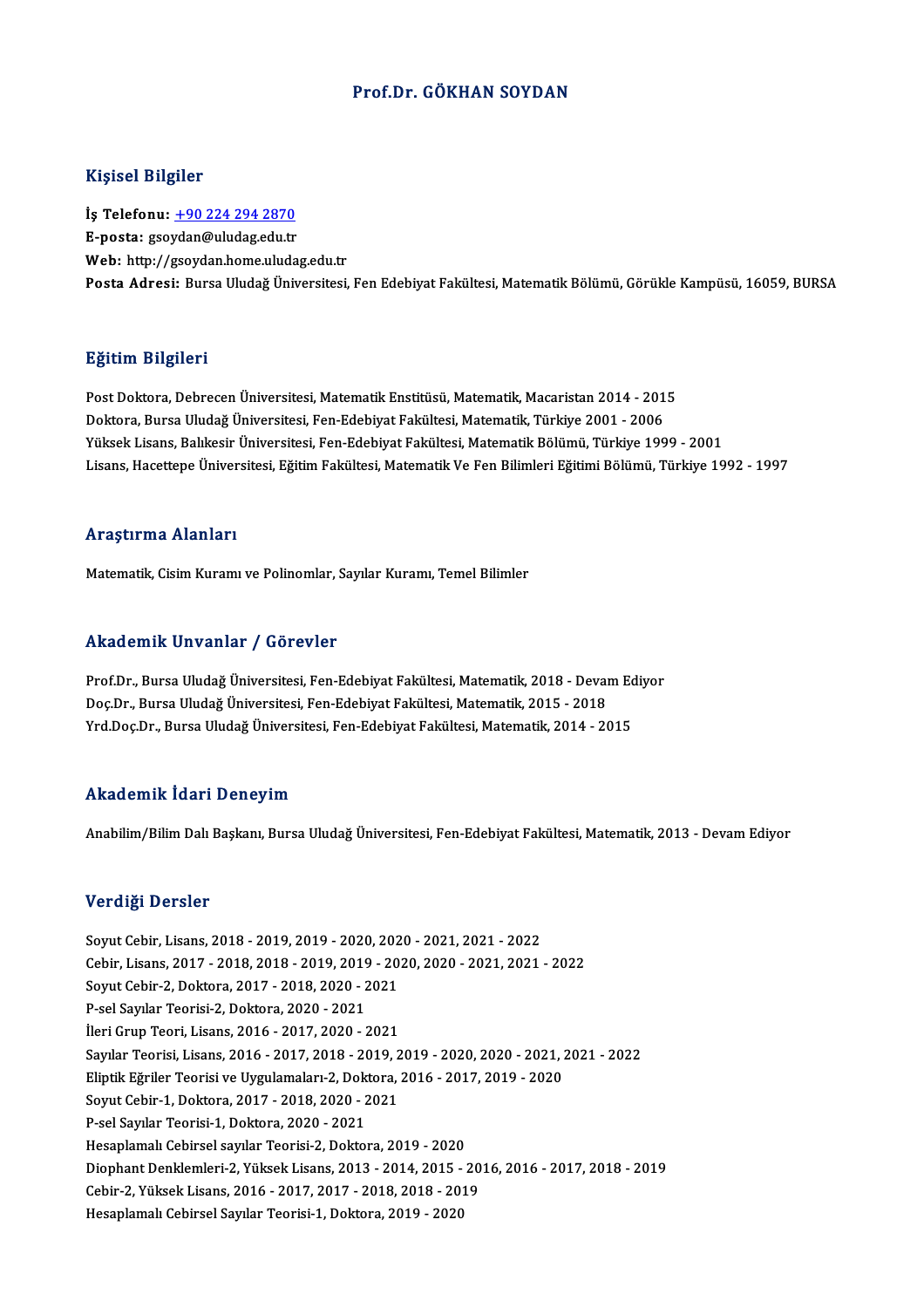## Prof.Dr. GÖKHAN SOYDAN

### Kişisel Bilgiler

Kişisel Bilgiler<br>İş Telefonu: <u>+90 224 294 2870</u><br>E nosta*: seeydan@*uludas.edu.tr 11191001 DABA01<br>İş Telefonu: <u>+90 224 294 2870</u><br>E-posta: gso[ydan@uludag.edu.tr](tel:+90 224 294 2870) E-posta: gsoydan@uludag.edu.tr<br>Web: http://gsoydan.home.uludag.edu.tr Posta Adresi: Bursa Uludağ Üniversitesi, Fen Edebiyat Fakültesi, Matematik Bölümü, Görükle Kampüsü, 16059, BURSA

## Eğitim Bilgileri

<mark>Eğitim Bilgileri</mark><br>Post Doktora, Debrecen Üniversitesi, Matematik Enstitüsü, Matematik, Macaristan 2014 - 2015<br>Doktora, Burga Uludağ Üniversitesi, Ean Edebiyat Fakültesi, Matematik, Türkiya 2001 - 2006 23.<br>Post Doktora, Debrecen Üniversitesi, Matematik Enstitüsü, Matematik, Macaristan 2014 - 201<br>Doktora, Bursa Uludağ Üniversitesi, Fen-Edebiyat Fakültesi, Matematik, Türkiye 2001 - 2006<br>Vülsek Lisans, Pakkesir Üniversitesi Post Doktora, Debrecen Üniversitesi, Matematik Enstitüsü, Matematik, Macaristan 2014 - 2015<br>Doktora, Bursa Uludağ Üniversitesi, Fen-Edebiyat Fakültesi, Matematik, Türkiye 2001 - 2006<br>Yüksek Lisans, Balıkesir Üniversitesi, Doktora, Bursa Uludağ Üniversitesi, Fen-Edebiyat Fakültesi, Matematik, Türkiye 2001 - 2006<br>Yüksek Lisans, Balıkesir Üniversitesi, Fen-Edebiyat Fakültesi, Matematik Bölümü, Türkiye 1999 - 2001<br>Lisans, Hacettepe Üniversitesi Lisans, Hacettepe Üniversitesi, Eğitim Fakültesi, Matematik Ve Fen Bilimleri Eğitimi Bölümü, Türkiye 1992 - 1997<br>Araştırma Alanları

Matematik, Cisim Kuramı ve Polinomlar, Sayılar Kuramı, Temel Bilimler

### Akademik Unvanlar / Görevler

Prof.Dr., Bursa Uludağ Üniversitesi, Fen-Edebiyat Fakültesi, Matematik, 2018 - Devam Ediyor rrittat omrit "on vanrar") "a or ovror<br>Prof.Dr., Bursa Uludağ Üniversitesi, Fen-Edebiyat Fakültesi, Matematik, 2018 - Devai<br>Doç.Dr., Bursa Uludağ Üniversitesi, Fen-Edebiyat Fakültesi, Matematik, 2015 - 2018<br>Yrd Doc.Dr., Bu Prof.Dr., Bursa Uludağ Üniversitesi, Fen-Edebiyat Fakültesi, Matematik, 2018 - Devam Ec<br>Doç.Dr., Bursa Uludağ Üniversitesi, Fen-Edebiyat Fakültesi, Matematik, 2015 - 2018<br>Yrd.Doç.Dr., Bursa Uludağ Üniversitesi, Fen-Edebiya Yrd.Doç.Dr., Bursa Uludağ Üniversitesi, Fen-Edebiyat Fakültesi, Matematik, 2014 - 2015<br>Akademik İdari Deneyim

Anabilim/Bilim Dalı Başkanı, Bursa Uludağ Üniversitesi, Fen-Edebiyat Fakültesi, Matematik, 2013 - Devam Ediyor

### Verdiği Dersler

Verdiği Dersler<br>Soyut Cebir, Lisans, 2018 - 2019, 2019 - 2020, 2020 - 2021, 2021 - 2022<br>Cebir, Lisans, 2017, 2018, 2018, 2019, 2019, 2020, 2020, 2021, 2021 Cebir,Lisans,2017 -2018,2018 -2019,2019 -2020,2020 -2021,2021 -2022 Soyut Cebir, Lisans, 2018 - 2019, 2019 - 2020, 202<br>Cebir, Lisans, 2017 - 2018, 2018 - 2019, 2019 - 20<br>Soyut Cebir-2, Doktora, 2017 - 2018, 2020 - 2021<br>B.sel Sayılar Teorisi 2, Doktora, 2020, 2021 P-sel Sayılar Teorisi-2, Doktora, 2020 - 2021<br>İleri Grup Teori, Lisans, 2016 - 2017, 2020 - 2021 Soyut Cebir-2, Doktora, 2017 - 2018, 2020 - 2021 SayılarTeorisi,Lisans,2016 -2017,2018 -2019,2019 -2020,2020 -2021,2021 -2022 İleri Grup Teori, Lisans, 2016 - 2017, 2020 - 2021<br>Sayılar Teorisi, Lisans, 2016 - 2017, 2018 - 2019, 2019 - 2020, 2020 - 2021, 2<br>Eliptik Eğriler Teorisi ve Uygulamaları-2, Doktora, 2016 - 2017, 2019 - 2020<br>Sayut Cebir 1, Sayılar Teorisi, Lisans, 2016 - 2017, 2018 - 2019, 2<br>Eliptik Eğriler Teorisi ve Uygulamaları-2, Doktora,<br>Soyut Cebir-1, Doktora, 2017 - 2018, 2020 - 2021<br>B.sel Sayılar Teorisi 1, Doktora, 2020, 2021 Eliptik Eğriler Teorisi ve Uygulamaları-2, Dok<br>Soyut Cebir-1, Doktora, 2017 - 2018, 2020 - 2<br>P-sel Sayılar Teorisi-1, Doktora, 2020 - 2021<br>Hesenlamalı Cebirsel sayılar Teorisi 2, Doktor Soyut Cebir-1, Doktora, 2017 - 2018, 2020 - 2021<br>P-sel Sayılar Teorisi-1, Doktora, 2020 - 2021<br>Hesaplamalı Cebirsel sayılar Teorisi-2, Doktora, 2019 - 2020<br>Diaphant Danklamlari 2, Vülrek Lisans, 2012, 2014, 2015 P-sel Sayılar Teorisi-1, Doktora, 2020 - 2021<br>Hesaplamalı Cebirsel sayılar Teorisi-2, Doktora, 2019 - 2020<br>Diophant Denklemleri-2, Yüksek Lisans, 2013 - 2014, 2015 - 2016, 2016 - 2017, 2018 - 2019<br>Cebir-2, Yüksek Lisans, 2 Hesaplamalı Cebirsel sayılar Teorisi-2, Doktora, 2019 - 2020<br>Diophant Denklemleri-2, Yüksek Lisans, 2013 - 2014, 2015 - 20<br>Cebir-2, Yüksek Lisans, 2016 - 2017, 2017 - 2018, 2018 - 2019<br>Hesaplamalı Cebirsel Sayılar Teorisi Hesaplamalı Cebirsel Sayılar Teorisi-1, Doktora, 2019 - 2020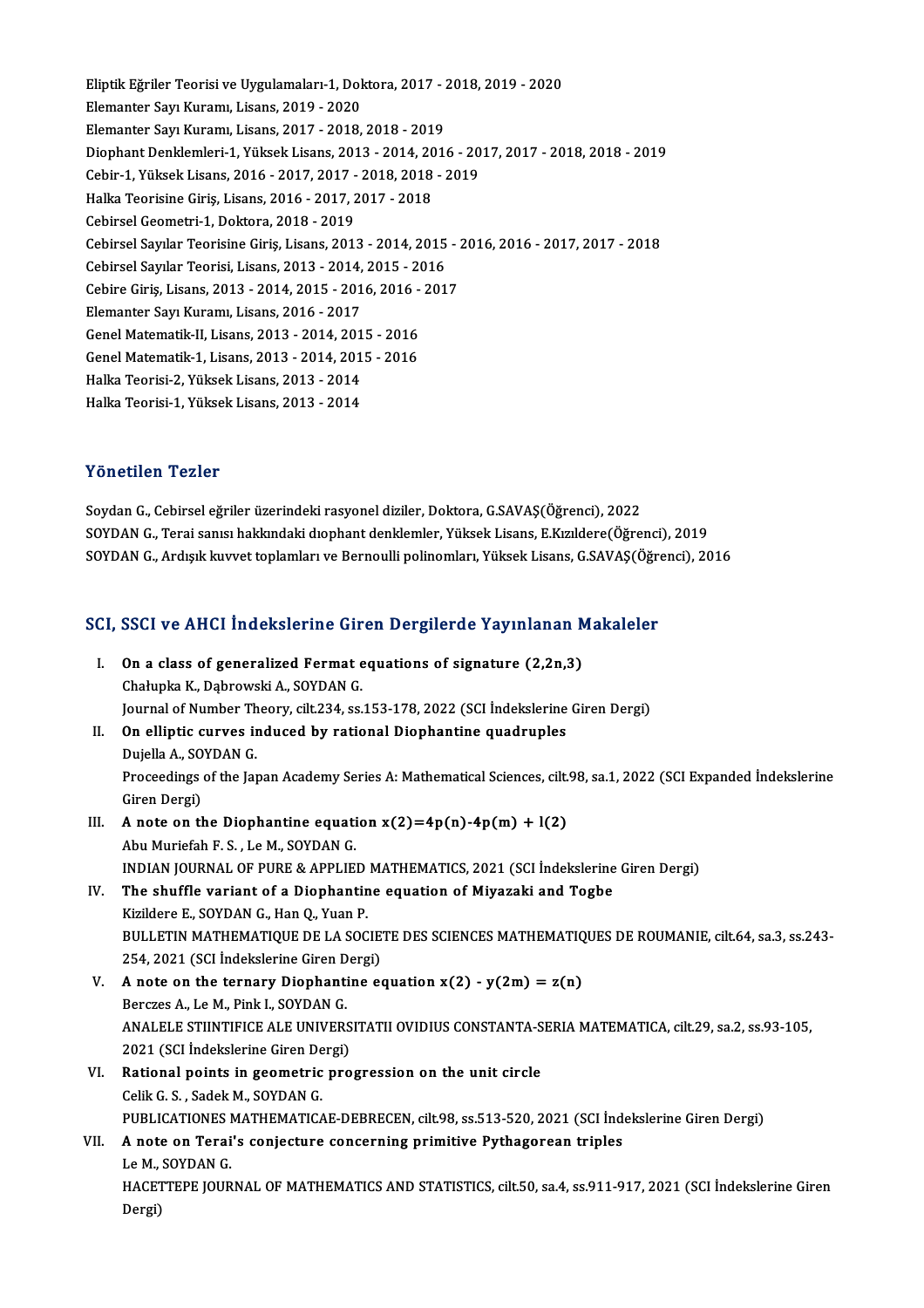Eliptik Eğriler Teorisi ve Uygulamaları-1, Doktora, 2017 - 2018, 2019 - 2020<br>Elamantar Sau Kunamı, Lisans, 2019, ...2020 Eliptik Eğriler Teorisi ve Uygulamaları-1, Dol<br>Elemanter Sayı Kuramı, Lisans, 2019 - 2020<br>Elemanter Sayı Kuramı, Lisans, 2017 - 2019 Eliptik Eğriler Teorisi ve Uygulamaları-1, Doktora, 2017 - 2<br>Elemanter Sayı Kuramı, Lisans, 2019 - 2020<br>Elemanter Sayı Kuramı, Lisans, 2017 - 2018, 2018 - 2019<br>Diaphant Danklamları 1, Vülsek Lisans, 2012, 2014, 2014 Elemanter Sayı Kuramı, Lisans, 2019 - 2020<br>Elemanter Sayı Kuramı, Lisans, 2017 - 2018, 2018 - 2019<br>Diophant Denklemleri-1, Yüksek Lisans, 2013 - 2014, 2016 - 2017, 2017 - 2018, 2018 - 2019 Elemanter Sayı Kuramı, Lisans, 2017 - 2018, 2018 - 2019<br>Diophant Denklemleri-1, Yüksek Lisans, 2013 - 2014, 2016 - 20<br>Cebir-1, Yüksek Lisans, 2016 - 2017, 2017 - 2018, 2018 - 2019<br>Halka Teorisine Ciris, Lisans, 2016 - 2017 Diophant Denklemleri-1, Yüksek Lisans, 2013 - 2014, 20<br>Cebir-1, Yüksek Lisans, 2016 - 2017, 2017 - 2018, 2018<br>Halka Teorisine Giriş, Lisans, 2016 - 2017, 2017 - 2018<br>Cebircel Ceometri 1, Dektors, 2018, 2019 Cebir-1, Yüksek Lisans, 2016 - 2017, 2017<br>Halka Teorisine Giriş, Lisans, 2016 - 2017, 2<br>Cebirsel Geometri-1, Doktora, 2018 - 2019<br>Cebirsel Savılar Teorisine Giriş, Lisans, 201 Halka Teorisine Giriş, Lisans, 2016 - 2017, 2017 - 2018<br>Cebirsel Geometri-1, Doktora, 2018 - 2019<br>Cebirsel Sayılar Teorisine Giriş, Lisans, 2013 - 2014, 2015 - 2016, 2016 - 2017, 2017 - 2018 Cebirsel Geometri-1, Doktora, 2018 - 2019<br>Cebirsel Sayılar Teorisine Giriş, Lisans, 2013 - 2014, 2015<br>Cebirsel Sayılar Teorisi, Lisans, 2013 - 2014, 2015 - 2016<br>Cebire Giris, Lisans, 2012, 2014, 2015, 2016, 2016, 201 Cebirsel Sayılar Teorisine Giriş, Lisans, 2013 - 2014, 2015 - 2<br>Cebirsel Sayılar Teorisi, Lisans, 2013 - 2014, 2015 - 2016<br>Cebire Giriş, Lisans, 2013 - 2014, 2015 - 2016, 2016 - 2017<br>Flamantar Sayı Kuramı, Lisans, 2016, 20 Cebirsel Sayılar Teorisi, Lisans, 2013 - 2014,<br>Cebire Giriş, Lisans, 2013 - 2014, 2015 - 201<br>Elemanter Sayı Kuramı, Lisans, 2016 - 2017<br>Cenel Matematik II. Lisans, 2012, 2014, 201 Cebire Giriş, Lisans, 2013 - 2014, 2015 - 2016, 2016 -<br>Elemanter Sayı Kuramı, Lisans, 2016 - 2017<br>Genel Matematik-II, Lisans, 2013 - 2014, 2015 - 2016<br>Cenel Matematik 1 Jisans, 2012, 2014, 2015, 2016 Elemanter Sayı Kuramı, Lisans, 2016 - 2017<br>Genel Matematik-II, Lisans, 2013 - 2014, 2015 - 2016<br>Genel Matematik-1, Lisans, 2013 - 2014, 2015 - 2016 Genel Matematik-II, Lisans, 2013 - 2014, 201<br>Genel Matematik-1, Lisans, 2013 - 2014, 201<br>Halka Teorisi-2, Yüksek Lisans, 2013 - 2014<br>Halka Teorisi 1, Vüksek Lisans, 2013 - 2014 Genel Matematik-1, Lisans, 2013 - 2014, 201<br>Halka Teorisi-2, Yüksek Lisans, 2013 - 2014<br>Halka Teorisi-1, Yüksek Lisans, 2013 - 2014 Halka Teorisi-1, Yüksek Lisans, 2013 - 2014<br>Yönetilen Tezler

Soydan G., Cebirsel eğriler üzerindeki rasyonel diziler, Doktora, G.SAVAŞ(Öğrenci), 2022 SOYDAN G., Terai sanısı hakkındaki dıophant denklemler, Yüksek Lisans, E.Kızıldere(Öğrenci), 2019 SOYDAN G., Ardışık kuvvet toplamları ve Bernoulli polinomları, Yüksek Lisans, G.SAVAŞ(Öğrenci), 2016

# SOTDAN G., Ardışık kuvvet toplamları ve Bernotini polinomları, Tüksek Lisans, G.SAVAş(Ogre<br>SCI, SSCI ve AHCI İndekslerine Giren Dergilerde Yayınlanan Makaleler

|      | SCI, SSCI ve AHCI İndekslerine Giren Dergilerde Yayınlanan Makaleler                                                             |
|------|----------------------------------------------------------------------------------------------------------------------------------|
| L    | On a class of generalized Fermat equations of signature (2,2n,3)                                                                 |
|      | Chałupka K., Dąbrowski A., SOYDAN G.                                                                                             |
|      | Journal of Number Theory, cilt 234, ss.153-178, 2022 (SCI Indekslerine Giren Dergi)                                              |
| Н.   | On elliptic curves induced by rational Diophantine quadruples                                                                    |
|      | Dujella A., SOYDAN G.                                                                                                            |
|      | Proceedings of the Japan Academy Series A: Mathematical Sciences, cilt.98, sa.1, 2022 (SCI Expanded Indekslerine<br>Giren Dergi) |
| Ш.   | A note on the Diophantine equation $x(2)=4p(n)-4p(m) + l(2)$                                                                     |
|      | Abu Muriefah F. S., Le M., SOYDAN G.                                                                                             |
|      | INDIAN JOURNAL OF PURE & APPLIED MATHEMATICS, 2021 (SCI Indekslerine Giren Dergi)                                                |
| IV.  | The shuffle variant of a Diophantine equation of Miyazaki and Togbe                                                              |
|      | Kizildere E., SOYDAN G., Han Q., Yuan P.                                                                                         |
|      | BULLETIN MATHEMATIQUE DE LA SOCIETE DES SCIENCES MATHEMATIQUES DE ROUMANIE, cilt.64, sa.3, ss.243-                               |
|      | 254, 2021 (SCI İndekslerine Giren Dergi)                                                                                         |
| V.   | A note on the ternary Diophantine equation $x(2) - y(2m) = z(n)$                                                                 |
|      | Berczes A., Le M., Pink I., SOYDAN G.                                                                                            |
|      | ANALELE STIINTIFICE ALE UNIVERSITATII OVIDIUS CONSTANTA-SERIA MATEMATICA, cilt.29, sa.2, ss.93-105,                              |
|      | 2021 (SCI İndekslerine Giren Dergi)                                                                                              |
| VI.  | Rational points in geometric progression on the unit circle                                                                      |
|      | Celik G. S., Sadek M., SOYDAN G.                                                                                                 |
|      | PUBLICATIONES MATHEMATICAE-DEBRECEN, cilt.98, ss.513-520, 2021 (SCI Indekslerine Giren Dergi)                                    |
| VII. | A note on Terai's conjecture concerning primitive Pythagorean triples                                                            |
|      | Le M., SOYDAN G.                                                                                                                 |
|      | HACETTEPE JOURNAL OF MATHEMATICS AND STATISTICS, cilt.50, sa.4, ss.911-917, 2021 (SCI Indekslerine Giren                         |
|      | Dergi)                                                                                                                           |
|      |                                                                                                                                  |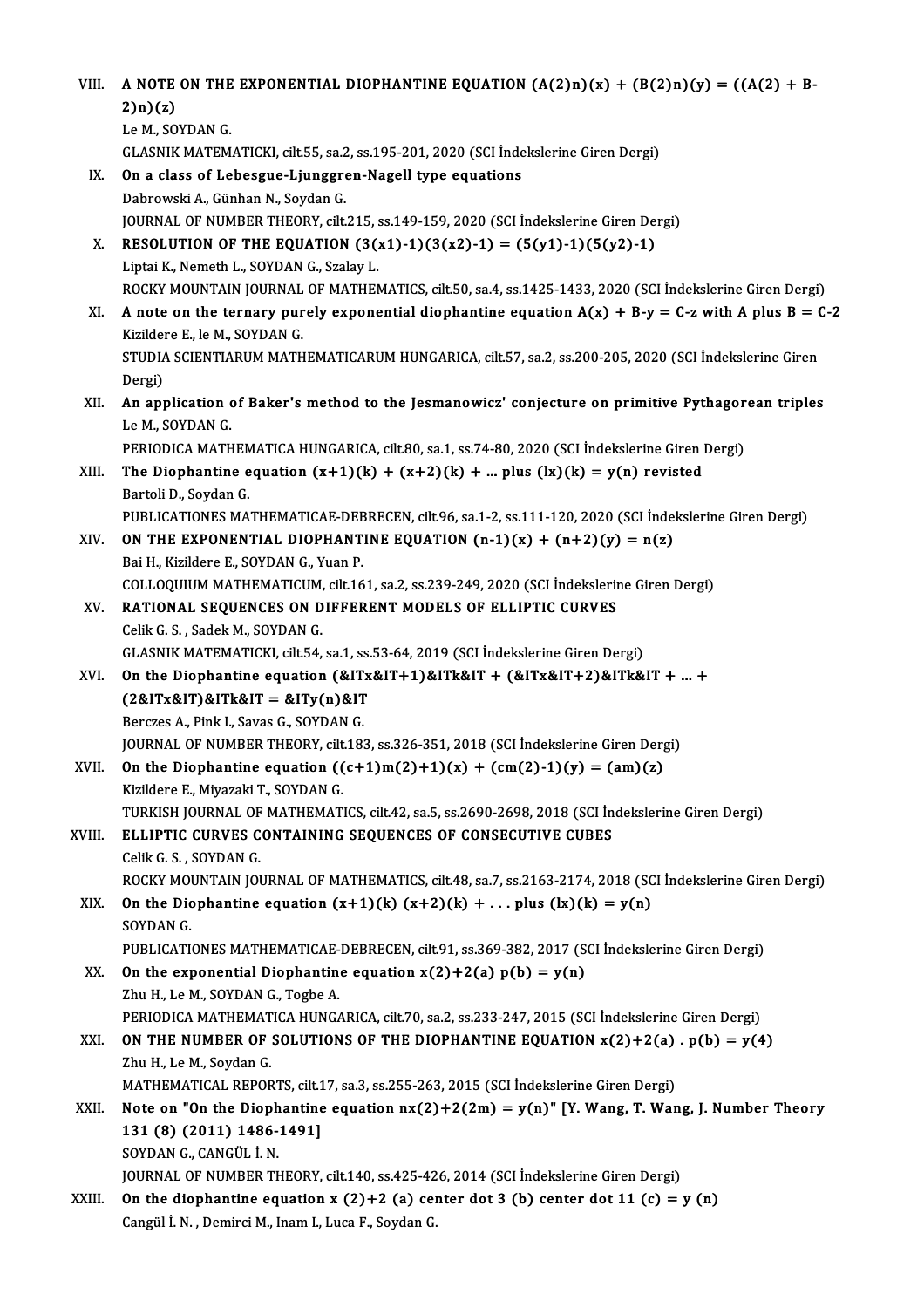VIII. A NOTE ON THE EXPONENTIAL DIOPHANTINE EQUATION  $(A(2)n)(x) + (B(2)n)(y) = ((A(2) + B-2) n)(x)$ A NOTE<br>2)n)(z)<br>Le M SO A NOTE ON THE<br>2)n)(z)<br>Le M., SOYDAN G.<br>CLASNIK MATEM 2)n)(z)<br>Le M., SOYDAN G.<br>GLASNIK MATEMATICKI, cilt.55, sa.2, ss.195-201, 2020 (SCI İndekslerine Giren Dergi)<br>On a slass af Labasaya Livnaanan Nagall tuna asyatiana Le M., SOYDAN G.<br>GLASNIK MATEMATICKI, cilt.55, sa.2, ss.195-201, 2020 (SCI Inde<br>IX. On a class of Lebesgue-Ljunggren-Nagell type equations<br>Dabrowski A., Günhan N., Soydan G. GLASNIK MATEMATICKI, cilt.55, sa.2<br>On a class of Lebesgue-Ljunggre<br>Dabrowski A., Günhan N., Soydan G.<br>JOUPNAL OF NUMPER THEORY, silt. On a class of Lebesgue-Ljunggren-Nagell type equations<br>Dabrowski A., Günhan N., Soydan G.<br>JOURNAL OF NUMBER THEORY, cilt.215, ss.149-159, 2020 (SCI İndekslerine Giren Dergi)<br>RESOLUTION OF THE FOUATION (3(x1) 1)(3(x3) 1) = X. RESOLUTION OF THE EQUATION  $(3(x1)-1)(3(x2)-1) = (5(y1)-1)(5(y2)-1)$ <br>Liptai K., Nemeth L., SOYDAN G., Szalav L. JOURNAL OF NUMBER THEORY, cilt.215, s<br>RESOLUTION OF THE EQUATION (3(1)<br>Liptai K., Nemeth L., SOYDAN G., Szalay L.<br>ROCKY MOUNTAIN JOURNAL OF MATHEN RESOLUTION OF THE EQUATION  $(3(x1)-1)(3(x2)-1) = (5(y1)-1)(5(y2)-1)$ <br>Liptai K., Nemeth L., SOYDAN G., Szalay L.<br>ROCKY MOUNTAIN JOURNAL OF MATHEMATICS, cilt.50, sa.4, ss.1425-1433, 2020 (SCI İndekslerine Giren Dergi)<br>A nota an the ter Liptai K., Nemeth L., SOYDAN G., Szalay L.<br>ROCKY MOUNTAIN JOURNAL OF MATHEMATICS, cilt.50, sa.4, ss.1425-1433, 2020 (SCI İndekslerine Giren Dergi)<br>XI. A note on the ternary purely exponential diophantine equation A(x) + B-ROCKY MOUNTAIN JOURNAL<br>**A note on the ternary pur<br>Kizildere E., le M., SOYDAN G.<br>STUDIA SCIENTIABUM MATU** A note on the ternary purely exponential diophantine equation A(x) + B-y = C-z with A plus B = (<br>Kizildere E., le M., SOYDAN G.<br>STUDIA SCIENTIARUM MATHEMATICARUM HUNGARICA, cilt.57, sa.2, ss.200-205, 2020 (SCI İndekslerine Kizildere E., le M., SOYDAN G.<br>STUDIA SCIENTIARUM MATHEMATICARUM HUNGARICA, cilt.57, sa.2, ss.200-205, 2020 (SCI İndekslerine Giren<br>Dergi) STUDIA SCIENTIARUM MATHEMATICARUM HUNGARICA, cilt.57, sa.2, ss.200-205, 2020 (SCI İndekslerine Giren<br>Dergi)<br>XII. An application of Baker's method to the Jesmanowicz' conjecture on primitive Pythagorean triples<br>LeM, SOVDAN. Dergi)<br><mark>An application (</mark><br>Le M., SOYDAN G.<br>PERIODICA MATH An application of Baker's method to the Jesmanowicz' conjecture on primitive Pythagor<br>Le M., SOYDAN G.<br>PERIODICA MATHEMATICA HUNGARICA, cilt.80, sa.1, ss.74-80, 2020 (SCI İndekslerine Giren Dergi)<br>The Dienbentine equation Le M., SOYDAN G.<br>PERIODICA MATHEMATICA HUNGARICA, cilt.80, sa.1, ss.74-80, 2020 (SCI Indekslerine Giren 1<br>XIII. The Diophantine equation  $(x+1)(k) + (x+2)(k) + ...$  plus  $(lx)(k) = y(n)$  revisted<br>Bartali D. Soudan G. PERIODICA MATHEM<br>The Diophantine e<br>Bartoli D., Soydan G.<br>PUBLICATIONES MA The Diophantine equation (x+1)(k) + (x+2)(k) + ... plus (lx)(k) = y(n) revisted<br>Bartoli D., Soydan G.<br>PUBLICATIONES MATHEMATICAE-DEBRECEN, cilt.96, sa.1-2, ss.111-120, 2020 (SCI İndekslerine Giren Dergi)<br>ON THE EXPONENTIAL Bartoli D., Soydan G.<br>PUBLICATIONES MATHEMATICAE-DEBRECEN, cilt.96, sa.1-2, ss.111-120, 2020 (SCI Index<br>XIV. **ON THE EXPONENTIAL DIOPHANTINE EQUATION (n-1)(x) + (n+2)(y) = n(z)**<br>Rai H. Kirildere E. SOYDAN C. Vuan B. PUBLICATIONES MATHEMATICAE-DEE<br>**ON THE EXPONENTIAL DIOPHANT**<br>Bai H., Kizildere E., SOYDAN G., Yuan P.<br>COLLOQUUIM MATHEMATICUM cilt 16 ON THE EXPONENTIAL DIOPHANTINE EQUATION (n-1)(x) + (n+2)(y) = n(z)<br>Bai H., Kizildere E., SOYDAN G., Yuan P.<br>COLLOQUIUM MATHEMATICUM, cilt.161, sa.2, ss.239-249, 2020 (SCI İndekslerine Giren Dergi)<br>BATIONAL SEQUENCES ON DIE Bai H., Kizildere E., SOYDAN G., Yuan P.<br>COLLOQUIUM MATHEMATICUM, cilt.161, sa.2, ss.239-249, 2020 (SCI İndeksleri<br>XV. RATIONAL SEQUENCES ON DIFFERENT MODELS OF ELLIPTIC CURVES<br>Celik G. S. , Sadek M., SOYDAN G. COLLOQUIUM MATHEMATICUM,<br>RATIONAL SEQUENCES ON D<br>Celik G. S. , Sadek M., SOYDAN G.<br>CLASNIK MATEMATICKL gilt 54 GLASNIK MATEMATICKI, cilt.54, sa.1, ss.53-64, 2019 (SCI İndekslerine Giren Dergi) Celik G. S., Sadek M., SOYDAN G.<br>GLASNIK MATEMATICKI, cilt.54, sa.1, ss.53-64, 2019 (SCI İndekslerine Giren Dergi)<br>XVI. On the Diophantine equation (&ITx&IT+1)&ITk&IT + (&ITx&IT+2)&ITk&IT + ... + GLASNIK MATEMATICKI, cilt.54, sa.1, ss.<br>On the Diophantine equation (&ITx<br>(2&ITx&IT)&ITk&IT = &ITy(n)&IT<br>Perstac A Bink L Saves G SOVDAN G On the Diophantine equation (&IT:<br>(2&ITx&IT)&ITk&IT = &ITy(n)&IT<br>Berczes A., Pink I., Savas G., SOYDAN G.<br>JOUPMAL OF NUMPER TUFORY sik 123 (2&ITx&IT)&ITk&IT = &ITy(n)&IT<br>Berczes A., Pink I., Savas G., SOYDAN G.<br>JOURNAL OF NUMBER THEORY, cilt.183, ss.326-351, 2018 (SCI İndekslerine Giren Dergi)<br>On the Diephentine equation ((e1.1)m(?)11)(r) 1 (am(?) 1)(v) = (am Berczes A., Pink I., Savas G., SOYDAN G.<br>JOURNAL OF NUMBER THEORY, cilt.183, ss.326-351, 2018 (SCI Indekslerine Giren Der<sub>i</sub><br>XVII. **On the Diophantine equation**  $((c+1)m(2)+1)(x) + (cm(2)-1)(y) = (am)(z)$ <br>Kizildere E., Miyazaki T., SO **JOURNAL OF NUMBER THEORY, cilt**<br>**On the Diophantine equation ((**<br>Kizildere E., Miyazaki T., SOYDAN G.<br>TURKISH JOURNAL OF MATHEMATI On the Diophantine equation ((c+1)m(2)+1)(x) + (cm(2)-1)(y) = (am)(z)<br>Kizildere E., Miyazaki T., SOYDAN G.<br>TURKISH JOURNAL OF MATHEMATICS, cilt.42, sa.5, ss.2690-2698, 2018 (SCI İndekslerine Giren Dergi)<br>ELLIPTIC CURVES CO XVIII. ELLIPTIC CURVES CONTAINING SEQUENCES OF CONSECUTIVE CUBES<br>Celik G. S., SOYDAN G. TURKISH JOURNAL OF<br>ELLIPTIC CURVES C<br>Celik G. S. , SOYDAN G.<br>POCKY MOUNTAIN JOI ROCKY MOUNTAIN JOURNAL OF MATHEMATICS, cilt.48, sa.7, ss.2163-2174, 2018 (SCI İndekslerine Giren Dergi) Celik G. S., SOYDAN G.<br>ROCKY MOUNTAIN JOURNAL OF MATHEMATICS, cilt.48, sa.7, ss.2163-2174, 2018 (SC<br>XIX. On the Diophantine equation  $(x+1)(k)(x+2)(k) + ...$ plus  $(lx)(k) = y(n)$ <br>SOYDAN G ROCKY MON<br>**On the Dic**<br>SOYDAN G.<br>PUPLICATI SOYDAN G.<br>PUBLICATIONES MATHEMATICAE-DEBRECEN, cilt.91, ss.369-382, 2017 (SCI İndekslerine Giren Dergi) XX. On the exponential Diophantine equation  $x(2)+2(a) p(b) = y(n)$ Zhu H., Le M., SOYDAN G., Togbe A. On the exponential Diophantine equation x(2)+2(a) p(b) = y(n)<br>Zhu H., Le M., SOYDAN G., Togbe A.<br>PERIODICA MATHEMATICA HUNGARICA, cilt.70, sa.2, ss.233-247, 2015 (SCI İndekslerine Giren Dergi)<br>ON THE NUMPER OF SOLUTIONS OF Zhu H., Le M., SOYDAN G., Togbe A.<br>PERIODICA MATHEMATICA HUNGARICA, cilt.70, sa.2, ss.233-247, 2015 (SCI İndekslerine Giren Dergi)<br>XXI. **ON THE NUMBER OF SOLUTIONS OF THE DIOPHANTINE EQUATION x(2)+2(a) . p(b) = y(4) PERIODICA MATHEMAT<br>ON THE NUMBER OF<br>Zhu H., Le M., Soydan G.<br>MATHEMATICAL BEPOR** ON THE NUMBER OF SOLUTIONS OF THE DIOPHANTINE EQUATION x(2)+2(a)<br>Zhu H., Le M., Soydan G.<br>MATHEMATICAL REPORTS, cilt.17, sa.3, ss.255-263, 2015 (SCI İndekslerine Giren Dergi)<br>Nete en "On the Dienbentine equation ny(2)+2(2m Xhu H., Le M., Soydan G.<br>MATHEMATICAL REPORTS, cilt.17, sa.3, ss.255-263, 2015 (SCI İndekslerine Giren Dergi)<br>XXII. Note on "On the Diophantine equation nx(2)+2(2m) = y(n)" [Y. Wang, T. Wang, J. Number Theory MATHEMATICAL REPORTS, cilt.1<br>Note on "On the Diophantine<br>131 (8) (2011) 1486-1491]<br>SOYDAN G. GANGÜLİ N Note on "On the Dioph<br>131 (8) (2011) 1486-<br>SOYDAN G., CANGÜL İ. N.<br>JOUPNAL OE NUMBER TH SOYDAN G., CANGÜL İ. N.<br>JOURNAL OF NUMBER THEORY, cilt.140, ss.425-426, 2014 (SCI İndekslerine Giren Dergi) SOYDAN G., CANGÜL İ. N.<br>JOURNAL OF NUMBER THEORY, cilt.140, ss.425-426, 2014 (SCI İndekslerine Giren Dergi)<br>XXIII. On the diophantine equation x (2)+2 (a) center dot 3 (b) center dot 11 (c) = y (n)<br>Cangül N. Dominsi M. In JOURNAL OF NUMBER THEORY, cilt.140, ss.425-42<br>On the diophantine equation x (2)+2 (a) cei<br>Cangül İ. N. , Demirci M., Inam I., Luca F., Soydan G.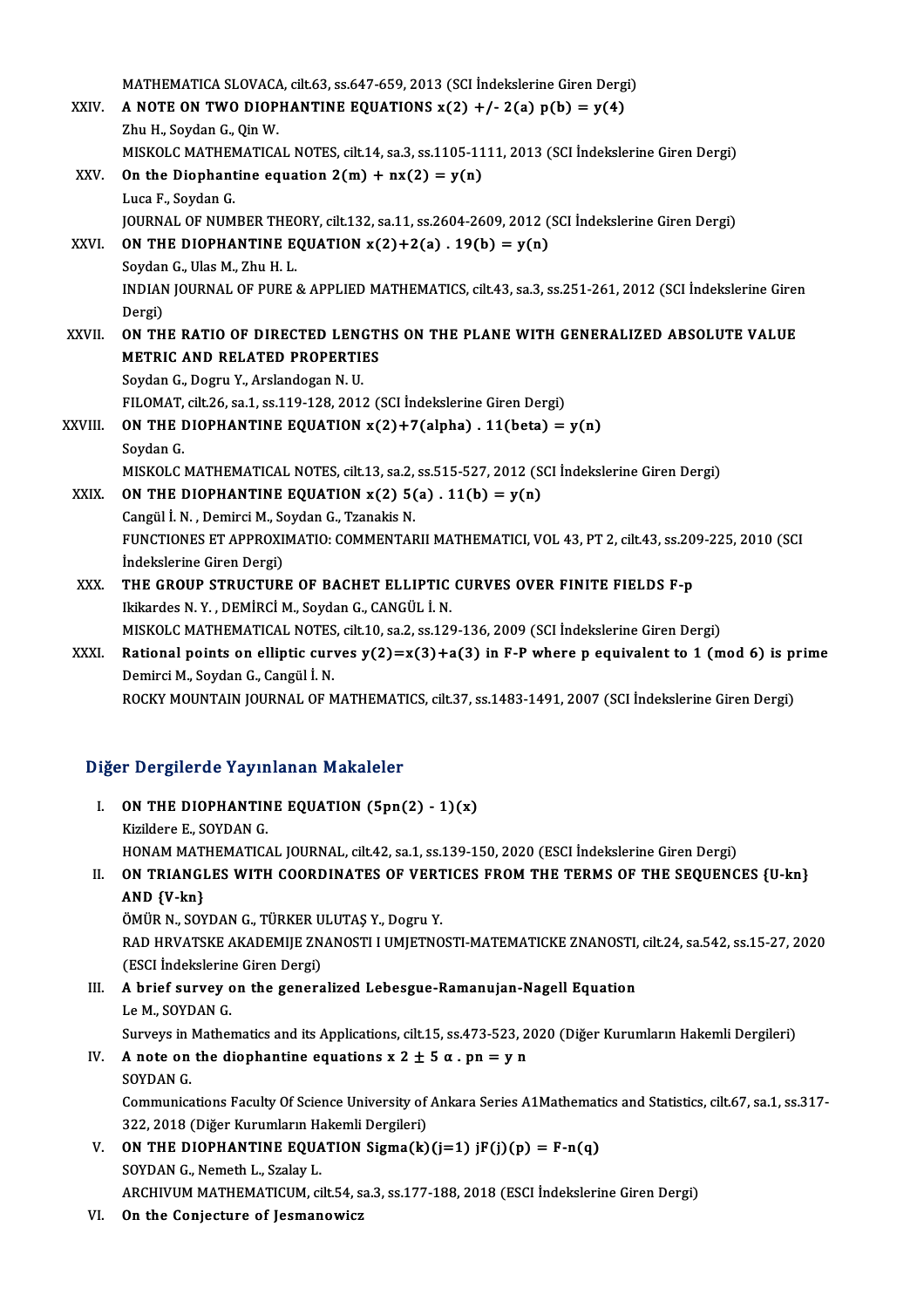MATHEMATICA SLOVACA, cilt.63, ss.647-659, 2013 (SCI İndekslerine Giren Dergi)<br>A NOTE ON TWO DIOBHANTINE FOUATIONS x(2) + (-2(c) n(b) = y(4) XXIV. A NOTE ON TWO DIOPHANTINE EQUATIONS  $x(2) +/- 2(a) p(b) = y(4)$ <br>Zhu H., Soydan G., Qin W. MATHEMATICA SLOVACA<br>**A NOTE ON TWO DIOP**<br>Zhu H., Soydan G., Qin W.<br>MISVOLC MATHEMATICA MISKOLC MATHEMATICAL NOTES, cilt.14, sa.3, ss.1105-1111, 2013 (SCI İndekslerine Giren Dergi) Zhu H., Soydan G., Qin W.<br>MISKOLC MATHEMATICAL NOTES, cilt.14, sa.3, ss.1105-11<br>XXV. On the Diophantine equation  $2(m) + nx(2) = y(n)$ MISKOLC MATHEN<br>On the Diophant<br>Luca F., Soydan G.<br>JOUPNAL OF NUM On the Diophantine equation 2(m) + nx(2) = y(n)<br>Luca F., Soydan G.<br>JOURNAL OF NUMBER THEORY, cilt.132, sa.11, ss.2604-2609, 2012 (SCI İndekslerine Giren Dergi)<br>ON THE DIOPHANTINE FOUATION x(2)+2(s) - 19(b) = v(n) Luca F., Soydan G.<br>JOURNAL OF NUMBER THEORY, cilt.132, sa.11, ss.2604-2609, 2012 (<br>XXVI. ON THE DIOPHANTINE EQUATION  $x(2)+2(a)$ . 19(b) =  $y(n)$ **JOURNAL OF NUMBER THEC<br>ON THE DIOPHANTINE E<br>Soydan G., Ulas M., Zhu H. L.<br>INDIAN JOUPNAL OF PUPE** ON THE DIOPHANTINE EQUATION x(2)+2(a) . 19(b) = y(n)<br>Soydan G., Ulas M., Zhu H. L.<br>INDIAN JOURNAL OF PURE & APPLIED MATHEMATICS, cilt.43, sa.3, ss.251-261, 2012 (SCI İndekslerine Giren<br>Persi) Soydan<br>INDIAN<br>Dergi)<br>ON TH INDIAN JOURNAL OF PURE & APPLIED MATHEMATICS, cilt.43, sa.3, ss.251-261, 2012 (SCI Indekslerine Girer<br>Dergi)<br>XXVII. ON THE RATIO OF DIRECTED LENGTHS ON THE PLANE WITH GENERALIZED ABSOLUTE VALUE Dergi)<br>XXVII. ON THE RATIO OF DIRECTED LENGTHS ON THE PLANE WITH GENERALIZED ABSOLUTE VALUE<br>METRIC AND RELATED PROPERTIES SoydanG.,DogruY.,ArslandoganN.U. FILOMAT, cilt.26, sa.1, ss.119-128, 2012 (SCI İndekslerine Giren Dergi) Soydan G., Dogru Y., Arslandogan N. U.<br>FILOMAT, cilt.26, sa.1, ss.119-128, 2012 (SCI İndekslerine Giren Dergi)<br>XXVIII. **ON THE DIOPHANTINE EQUATION x(2)+7(alpha) . 11(beta) = y(n)**<br>Soydan G FILOMAT,<br>ON THE I<br>Soydan G.<br>MISKOLO Soydan G.<br>MISKOLC MATHEMATICAL NOTES, cilt.13, sa.2, ss.515-527, 2012 (SCI İndekslerine Giren Dergi) Soydan G.<br>MISKOLC MATHEMATICAL NOTES, cilt.13, sa.2, ss.515-527, 2012 (S<br>XXIX. ON THE DIOPHANTINE EQUATION  $x(2)$  5(a) . 11(b) =  $y(n)$ <br>Congül N. Domingi M. Soydan C. Translie N. MISKOLC MATHEMATICAL NOTES, cilt.13, sa.2,<br>**ON THE DIOPHANTINE EQUATION x(2) 5(**<br>Cangül İ.N. , Demirci M., Soydan G., Tzanakis N. FUNCTIONES ET APPROXIMATIO: COMMENTARII MATHEMATICI, VOL 43, PT 2, cilt.43, ss.209-225, 2010 (SCI Indekslerine Giren Dergi) Cangül İ. N., Demirci M., Soydan G., Tzanakis N. FUNCTIONES ET APPROXIMATIO: COMMENTARII MATHEMATICI, VOL 43, PT 2, cilt.43, ss.20<br>Indekslerine Giren Dergi)<br>XXX. THE GROUP STRUCTURE OF BACHET ELLIPTIC CURVES OVER FINITE FIELDS F-p<br>Ikikardes N. Y. DEMIPCI M. Saydan G. CAN İndekslerine Giren Dergi)<br>THE GROUP STRUCTURE OF BACHET ELLIPTIC<br>Ikikardes N.Y., DEMİRCİ M., Soydan G., CANGÜL İ. N.<br>MISKOLC MATHEMATICAL NOTES, cilt 10, sə 3, sə 120 THE GROUP STRUCTURE OF BACHET ELLIPTIC CURVES OVER FINITE FIELDS F-p<br>Ikikardes N.Y., DEMIRCI M., Soydan G., CANGÜL İ. N.<br>MISKOLC MATHEMATICAL NOTES, cilt.10, sa.2, ss.129-136, 2009 (SCI İndekslerine Giren Dergi)<br>Pational n Ikikardes N.Y., DEMİRCİ M., Soydan G., CANGÜL İ. N.<br>MISKOLC MATHEMATICAL NOTES, cilt.10, sa.2, ss.129-136, 2009 (SCI İndekslerine Giren Dergi)<br>XXXI. Rational points on elliptic curves y(2)=x(3)+a(3) in F-P where p equivale MISKOLC MATHEMATICAL NOTES<br>Rational points on elliptic curv<br>Demirci M., Soydan G., Cangül İ. N.<br>POCKY MOUNTAIN JOUPNAL OF N Rational points on elliptic curves y(2)=x(3)+a(3) in F-P where p equivalent to 1 (mod 6) is p:<br>Demirci M., Soydan G., Cangül İ. N.<br>ROCKY MOUNTAIN JOURNAL OF MATHEMATICS, cilt.37, ss.1483-1491, 2007 (SCI İndekslerine Giren

# RUCKY MUUNTAIN JUURNAL OF MATHEMATI<br>Diğer Dergilerde Yayınlanan Makaleler

| Diğer Dergilerde Yayınlanan Makaleler |                                                                                                                    |  |
|---------------------------------------|--------------------------------------------------------------------------------------------------------------------|--|
| L.                                    | ON THE DIOPHANTINE EQUATION (5pn(2) - 1)(x)                                                                        |  |
|                                       | Kizildere E., SOYDAN G.                                                                                            |  |
|                                       | HONAM MATHEMATICAL JOURNAL, cilt.42, sa.1, ss.139-150, 2020 (ESCI Indekslerine Giren Dergi)                        |  |
| II.                                   | ON TRIANGLES WITH COORDINATES OF VERTICES FROM THE TERMS OF THE SEQUENCES {U-kn}                                   |  |
|                                       | $AND {V-kn}$                                                                                                       |  |
|                                       | ÖMÜR N., SOYDAN G., TÜRKER ULUTAŞ Y., Dogru Y.                                                                     |  |
|                                       | RAD HRVATSKE AKADEMIJE ZNANOSTI I UMJETNOSTI-MATEMATICKE ZNANOSTI, cilt.24, sa.542, ss.15-27, 2020                 |  |
|                                       | (ESCI İndekslerine Giren Dergi)                                                                                    |  |
| III.                                  | A brief survey on the generalized Lebesgue-Ramanujan-Nagell Equation                                               |  |
|                                       | Le M., SOYDAN G.                                                                                                   |  |
|                                       | Surveys in Mathematics and its Applications, cilt.15, ss.473-523, 2020 (Diğer Kurumların Hakemli Dergileri)        |  |
| IV.                                   | A note on the diophantine equations $x 2 \pm 5 \alpha$ . pn = y n                                                  |  |
|                                       | SOYDAN G.                                                                                                          |  |
|                                       | Communications Faculty Of Science University of Ankara Series A1Mathematics and Statistics, cilt.67, sa.1, ss.317- |  |
|                                       | 322, 2018 (Diğer Kurumların Hakemli Dergileri)                                                                     |  |
| V.                                    | ON THE DIOPHANTINE EQUATION Sigma(k)(j=1) jF(j)(p) = F-n(q)                                                        |  |
|                                       | SOYDAN G., Nemeth L., Szalay L.                                                                                    |  |
|                                       | ARCHIVUM MATHEMATICUM, cilt.54, sa.3, ss.177-188, 2018 (ESCI Indekslerine Giren Dergi)                             |  |
|                                       | VI – On the Conjecture of Leamanouisz                                                                              |  |

VI. On the Conjecture of Jesmanowicz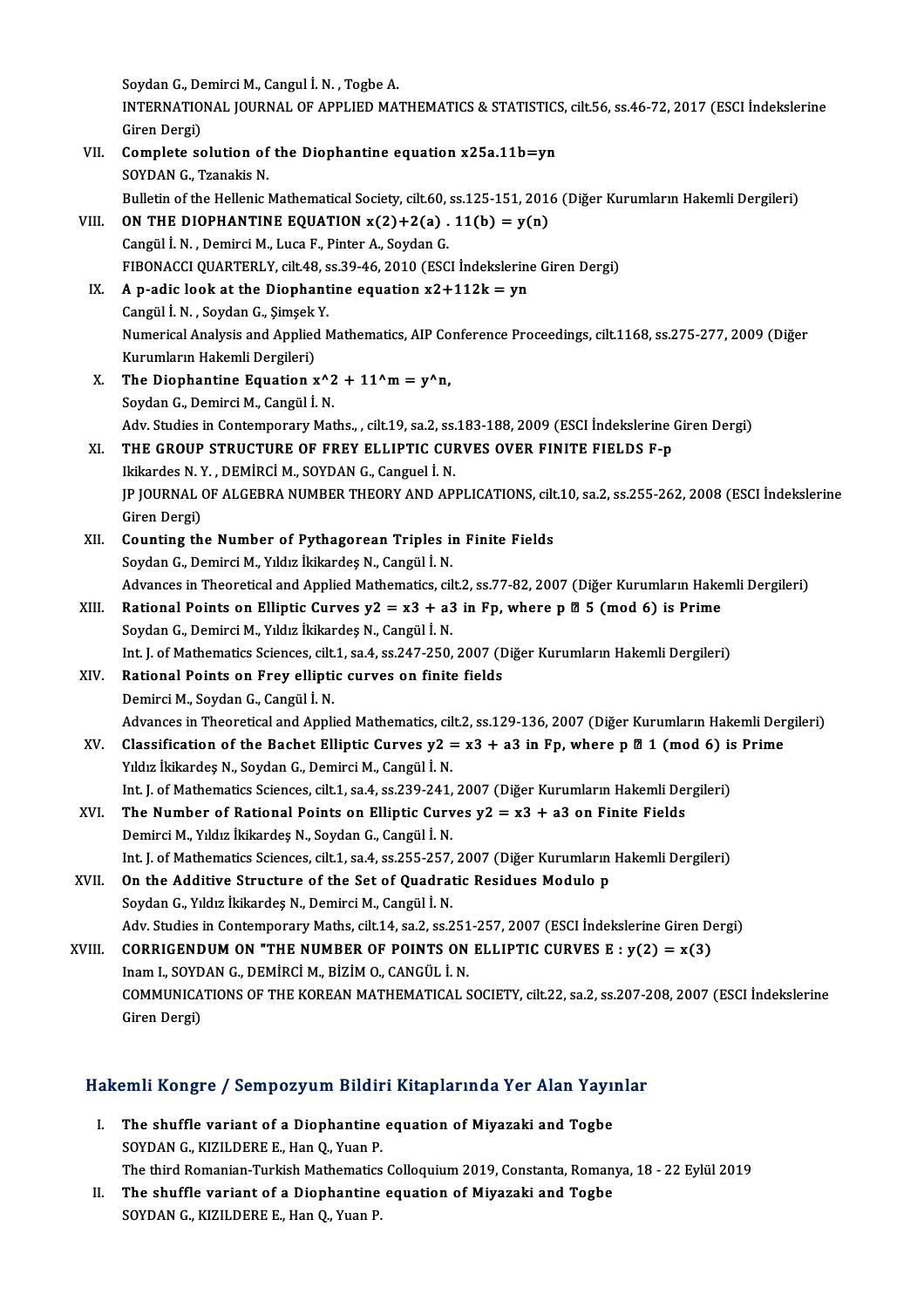Soydan G., Demirci M., Cangul İ. N. , Togbe A.<br>INTERNATIONAL JOURNAL OF APPLIED MA. INTERNATIONAL JOURNAL OF APPLIED MATHEMATICS & STATISTICS, cilt.56, ss.46-72, 2017 (ESCI İndekslerine<br>Giren Dergi) Soydan G., De<br>INTERNATIO<br>Giren Dergi)<br>Complate es INTERNATIONAL JOURNAL OF APPLIED MATHEMATICS & STATISTICS<br>Giren Dergi)<br>VII. Complete solution of the Diophantine equation  $x25a.11b=yn$ <br>SOVRAN C. Translie N. Giren Dergi)<br>**Complete solution of**<br>SOYDAN G., Tzanakis N.<br>Pulletin of the Hellenie l SOYDAN G., Tzanakis N.<br>Bulletin of the Hellenic Mathematical Society, cilt.60, ss.125-151, 2016 (Diğer Kurumların Hakemli Dergileri) SOYDAN G., Tzanakis N.<br>Bulletin of the Hellenic Mathematical Society, cilt.60, ss.125-151, 201<br>VIII. **ON THE DIOPHANTINE EQUATION x(2)+2(a) . 11(b) = y(n)**<br>Cangül J. N. Domirci M. J. von E. Bintor A. Sovdan G. Bulletin of the Hellenic Mathematical Society, cilt.60,<br> **ON THE DIOPHANTINE EQUATION x(2)+2(a)**<br>
Cangül İ.N., Demirci M., Luca F., Pinter A., Soydan G.<br>
FIRONACCI OUARTERLY, cilt.4.8, SS 39, 46, 2010 (FSC Cangül İ. N. , Demirci M., Luca F., Pinter A., Soydan G.<br>FIBONACCI QUARTERLY, cilt.48, ss.39-46, 2010 (ESCI İndekslerine Giren Dergi) Cangül İ. N., Demirci M., Luca F., Pinter A., Soydan G.<br>FIBONACCI QUARTERLY, cilt.48, ss.39-46, 2010 (ESCI İndekslerine<br>IX. A p-adic look at the Diophantine equation  $x2+112k = yn$ <br>Cangül İ. N., Soydan C. Simsel: Y. FIBONACCI QUARTERLY, cilt.48, s<br>A p-adic look at the Diophant<br>Cangül İ.N. , Soydan G., Şimşek Y.<br>Numerisəl Analysis and Annlied N Numerical Analysis and Applied Mathematics, AIP Conference Proceedings, cilt.1168, ss.275-277, 2009 (Diğer Kurumların Hakemli Dergileri) Cangül İ. N., Soydan G., Şimşek Y. Numerical Analysis and Applied Mathematics, AIP Co<br>Kurumların Hakemli Dergileri)<br>X. The Diophantine Equation  $x^2 + 11^m = y^m$ ,<br>Soudan C. Demirgi M. Congül I. N. Kurumların Hakemli Dergileri)<br>The Diophantine Equation x^2<br>Soydan G., Demirci M., Cangül İ. N.<br>Adv. Studies in Contomporery Mat The Diophantine Equation x^2 + 11^m = y^n,<br>Soydan G., Demirci M., Cangül İ. N.<br>Adv. Studies in Contemporary Maths., , cilt.19, sa.2, ss.183-188, 2009 (ESCI İndekslerine Giren Dergi)<br>THE CROUD STRUCTURE OF EREY ELLIRTIC CUR Soydan G., Demirci M., Cangül İ. N.<br>Adv. Studies in Contemporary Maths., , cilt.19, sa.2, ss.183-188, 2009 (ESCI İndekslerine<br>XI. THE GROUP STRUCTURE OF FREY ELLIPTIC CURVES OVER FINITE FIELDS F-p<br>Ikikardes N. Y. , DEMİRCİ Adv. Studies in Contemporary Maths., , cilt.19, sa.2, ss.<br>THE GROUP STRUCTURE OF FREY ELLIPTIC CUI<br>Ikikardes N.Y. , DEMİRCİ M., SOYDAN G., Canguel İ. N.<br>IR IOURNAL OF ALCERRA NUMBER TUFORY AND AR THE GROUP STRUCTURE OF FREY ELLIPTIC CURVES OVER FINITE FIELDS F-p<br>Ikikardes N. Y. , DEMİRCİ M., SOYDAN G., Canguel İ. N.<br>JP JOURNAL OF ALGEBRA NUMBER THEORY AND APPLICATIONS, cilt.10, sa.2, ss.255-262, 2008 (ESCI İndeksle Ikikardes N. Y<br>JP JOURNAL (<br>Giren Dergi)<br>Counting th JP JOURNAL OF ALGEBRA NUMBER THEORY AND APPLICATIONS, cilt<br>Giren Dergi)<br>XII. Counting the Number of Pythagorean Triples in Finite Fields<br>Soudan C. Domingi M. Vildus liskandes N. Cangül i. N. Giren Dergi)<br>XII. Counting the Number of Pythagorean Triples in Finite Fields<br>Soydan G., Demirci M., Yıldız İkikardeş N., Cangül İ. N. Counting the Number of Pythagorean Triples in Finite Fields<br>Soydan G., Demirci M., Yıldız İkikardeş N., Cangül İ. N.<br>Advances in Theoretical and Applied Mathematics, cilt.2, ss.77-82, 2007 (Diğer Kurumların Hakemli Dergile XIII. Rational Points on Elliptic Curves  $y2 = x3 + a3$  in Fp, where p  $\boxtimes$  5 (mod 6) is Prime Soydan G., Demirci M., Yıldız İkikardeş N., Cangül İ. N. Advances in Theoretical and Applied Mathematics, ci<br>**Rational Points on Elliptic Curves y2 = x3 + a3**<br>Soydan G., Demirci M., Yıldız İkikardeş N., Cangül İ. N. Rational Points on Elliptic Curves y2 = x3 + a3 in Fp, where p Ø 5 (mod 6) is Prime<br>Soydan G., Demirci M., Yıldız İkikardeş N., Cangül İ. N.<br>Int. J. of Mathematics Sciences, cilt.1, sa.4, ss.247-250, 2007 (Diğer Kurumların XIV. Rational Points on Frey elliptic curves on finite fields<br>Demirci M., Soydan G., Cangül İ. N. Int. J. of Mathematics Sciences, cilt.<br>Rational Points on Frey ellipti<br>Demirci M., Soydan G., Cangül İ. N.<br>Advances in Theoratical and Annli Rational Points on Frey elliptic curves on finite fields<br>Demirci M., Soydan G., Cangül İ. N.<br>Advances in Theoretical and Applied Mathematics, cilt.2, ss.129-136, 2007 (Diğer Kurumların Hakemli Dergileri)<br>Classification of Demirci M., Soydan G., Cangül İ. N.<br>Advances in Theoretical and Applied Mathematics, cilt.2, ss.129-136, 2007 (Diğer Kurumların Hakemli Der<br>XV. Classification of the Bachet Elliptic Curves y2 = x3 + a3 in Fp, where p Ø 1 ( Advances in Theoretical and Applied Mathematics, cilcularsification of the Bachet Elliptic Curves y2 =<br>Yıldız İkikardeş N., Soydan G., Demirci M., Cangül İ.N. Classification of the Bachet Elliptic Curves y2 = x3 + a3 in Fp, where p **Ø 1 (mod 6)** is<br>Yıldız İkikardeş N., Soydan G., Demirci M., Cangül İ. N.<br>Int. J. of Mathematics Sciences, cilt.1, sa.4, ss.239-241, 2007 (Diğer Kuru Yıldız İkikardeş N., Soydan G., Demirci M., Cangül İ. N.<br>Int. J. of Mathematics Sciences, cilt.1, sa.4, ss.239-241, 2007 (Diğer Kurumların Hakemli De:<br>XVI. The Number of Rational Points on Elliptic Curves y2 = x3 + a3 Int. J. of Mathematics Sciences, cilt.1, sa.4, ss.239-241,<br>The Number of Rational Points on Elliptic Curv<br>Demirci M., Yıldız İkikardeş N., Soydan G., Cangül İ. N.<br>Int. Lef Mathematics Sciences, cilt.1, sa.4, ss.255, 257 The Number of Rational Points on Elliptic Curves y2 = x3 + a3 on Finite Fields<br>Demirci M., Yıldız İkikardeş N., Soydan G., Cangül İ. N.<br>Int. J. of Mathematics Sciences, cilt.1, sa.4, ss.255-257, 2007 (Diğer Kurumların Hake XVII. On the Additive Structure of the Set of Quadratic Residues Modulo p Soydan G., Yıldız İkikardeş N., Demirci M., Cangül İ. N. Int. J. of Mathematics Sciences, cilt.1, sa.4, ss.255-257,<br>On the Additive Structure of the Set of Quadrat<br>Soydan G., Yıldız İkikardeş N., Demirci M., Cangül İ. N.<br>Adv. Studies in Contemporary Mathe, silt 14, sa.2, ss.2 On the Additive Structure of the Set of Quadratic Residues Modulo p<br>Soydan G., Yıldız İkikardeş N., Demirci M., Cangül İ. N.<br>Adv. Studies in Contemporary Maths, cilt.14, sa.2, ss.251-257, 2007 (ESCI İndekslerine Giren Derg Soydan G., Yıldız İkikardeş N., Demirci M., Cangül İ. N.<br>Adv. Studies in Contemporary Maths, cilt.14, sa.2, ss.251-257, 2007 (ESCI İndekslerine Giren D.<br>XVIII. CORRIGENDUM ON "THE NUMBER OF POINTS ON ELLIPTIC CURVES E : y Adv. Studies in Contemporary Maths, cilt.14, sa.2, ss.251<br>CORRIGENDUM ON "THE NUMBER OF POINTS ON<br>Inam I., SOYDAN G., DEMİRCİ M., BİZİM O., CANGÜL İ. N.<br>COMMUNICATIONS OF THE KOREAN MATHEMATICAL S CORRIGENDUM ON "THE NUMBER OF POINTS ON ELLIPTIC CURVES E : y(2) = x(3)<br>Inam I., SOYDAN G., DEMIRCI M., BIZIM O., CANGÜL I. N.<br>COMMUNICATIONS OF THE KOREAN MATHEMATICAL SOCIETY, cilt.22, sa.2, ss.207-208, 2007 (ESCI İndeks Inam I., SOYD<br>COMMUNICA<br>Giren Dergi)

# uren bergi)<br>Hakemli Kongre / Sempozyum Bildiri Kitaplarında Yer Alan Yayınlar

- akemli Kongre / Sempozyum Bildiri Kitaplarında Yer Alan Yayı<br>I. The shuffle variant of a Diophantine equation of Miyazaki and Togbe<br>SOVDAN G. KIZU DERE E. Han O. Yuan B I. The shuffle variant of a Diophantine equation of Miyazaki and Togbe SOYDAN G., KIZILDERE E., Han Q., Yuan P. The third Romanian-Turkish Mathematics Colloquium 2019, Constanta, Romanya, 18 - 22 Eylül 2019 SOYDAN G., KIZILDERE E., Han Q., Yuan P.<br>The third Romanian-Turkish Mathematics Colloquium 2019, Constanta, Roman<br>II. The shuffle variant of a Diophantine equation of Miyazaki and Togbe<br>SOYDAN C. KIZU DERE E. Han Q. Yuan P
- The third Romanian-Turkish Mathematics<br>The shuffle variant of a Diophantine<br>SOYDAN G., KIZILDERE E., Han Q., Yuan P.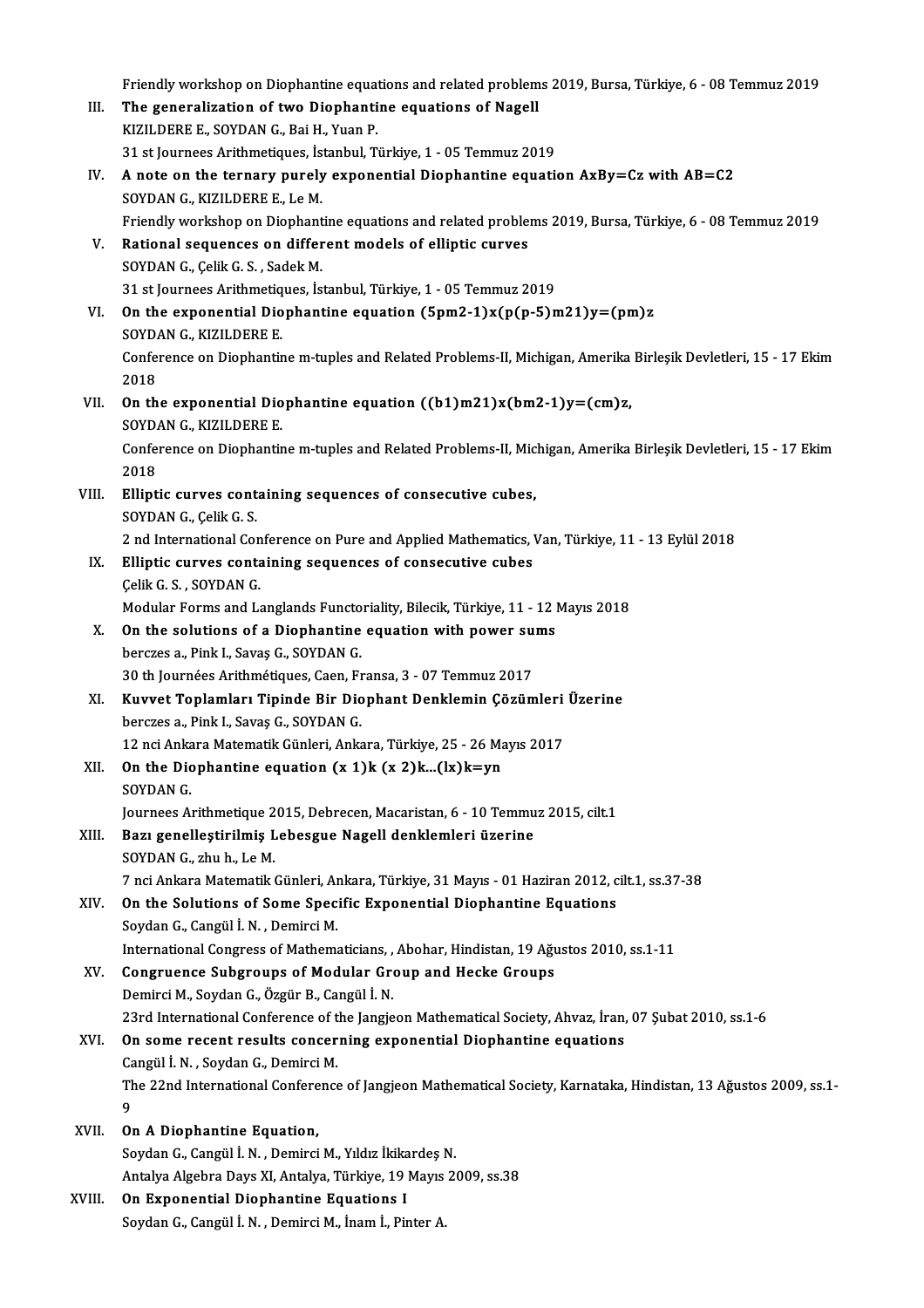|        | Friendly workshop on Diophantine equations and related problems 2019, Bursa, Türkiye, 6 - 08 Temmuz 2019         |
|--------|------------------------------------------------------------------------------------------------------------------|
| III.   | The generalization of two Diophantine equations of Nagell                                                        |
|        | KIZILDERE E., SOYDAN G., Bai H., Yuan P.                                                                         |
|        | 31 st Journees Arithmetiques, İstanbul, Türkiye, 1 - 05 Temmuz 2019                                              |
| IV.    | A note on the ternary purely exponential Diophantine equation AxBy=Cz with AB=C2                                 |
|        | SOYDAN G., KIZILDERE E., Le M.                                                                                   |
|        | Friendly workshop on Diophantine equations and related problems 2019, Bursa, Türkiye, 6 - 08 Temmuz 2019         |
| V.     | Rational sequences on different models of elliptic curves                                                        |
|        | SOYDAN G., Çelik G. S., Sadek M.                                                                                 |
|        | 31 st Journees Arithmetiques, İstanbul, Türkiye, 1 - 05 Temmuz 2019                                              |
| VI.    | On the exponential Diophantine equation $(5pm2-1)x(p(p-5)m21)y=(pm)z$                                            |
|        | SOYDAN G., KIZILDERE E.                                                                                          |
|        | Conference on Diophantine m-tuples and Related Problems-II, Michigan, Amerika Birleşik Devletleri, 15 - 17 Ekim  |
|        | 2018                                                                                                             |
| VII.   | On the exponential Diophantine equation $((b1)m21)x(bm2-1)y=(cm)z$ ,                                             |
|        | SOYDAN G., KIZILDERE E.                                                                                          |
|        | Conference on Diophantine m-tuples and Related Problems-II, Michigan, Amerika Birleşik Devletleri, 15 - 17 Ekim  |
|        | 2018                                                                                                             |
| VIII.  | Elliptic curves containing sequences of consecutive cubes,                                                       |
|        | SOYDAN G., Çelik G. S.                                                                                           |
|        | 2 nd International Conference on Pure and Applied Mathematics, Van, Türkiye, 11 - 13 Eylül 2018                  |
| IX.    | Elliptic curves containing sequences of consecutive cubes                                                        |
|        | Çelik G. S., SOYDAN G.                                                                                           |
|        | Modular Forms and Langlands Functoriality, Bilecik, Türkiye, 11 - 12 Mayıs 2018                                  |
| Х.     | On the solutions of a Diophantine equation with power sums                                                       |
|        | berczes a , Pink I., Savaş G., SOYDAN G.<br>30 th Journées Arithmétiques, Caen, Fransa, 3 - 07 Temmuz 2017       |
| XI.    | Kuvvet Toplamları Tipinde Bir Diophant Denklemin Çözümleri Üzerine                                               |
|        | berczes a . Pink I . Savas G . SOYDAN G .                                                                        |
|        | 12 nci Ankara Matematik Günleri, Ankara, Türkiye, 25 - 26 Mayıs 2017                                             |
| XII.   | On the Diophantine equation $(x 1)k(x 2)k(x)k=yn$                                                                |
|        | SOYDAN G.                                                                                                        |
|        | Journees Arithmetique 2015, Debrecen, Macaristan, 6 - 10 Temmuz 2015, cilt.1                                     |
| XIII.  | Bazı genelleştirilmiş Lebesgue Nagell denklemleri üzerine                                                        |
|        | SOYDAN G., zhu h., Le M.                                                                                         |
|        | 7 nci Ankara Matematik Günleri, Ankara, Türkiye, 31 Mayıs - 01 Haziran 2012, cilt.1, ss.37-38                    |
| XIV.   | On the Solutions of Some Specific Exponential Diophantine Equations                                              |
|        | Soydan G., Cangül İ. N., Demirci M.                                                                              |
|        | International Congress of Mathematicians, , Abohar, Hindistan, 19 Ağustos 2010, ss.1-11                          |
| XV.    | Congruence Subgroups of Modular Group and Hecke Groups                                                           |
|        | Demirci M., Soydan G., Özgür B., Cangül İ. N.                                                                    |
|        | 23rd International Conference of the Jangjeon Mathematical Society, Ahvaz, İran, 07 Şubat 2010, ss.1-6           |
| XVI.   | On some recent results concerning exponential Diophantine equations                                              |
|        | Cangül İ. N., Soydan G., Demirci M.                                                                              |
|        | The 22nd International Conference of Jangjeon Mathematical Society, Karnataka, Hindistan, 13 Ağustos 2009, ss.1- |
|        | 9                                                                                                                |
| XVII.  | On A Diophantine Equation,                                                                                       |
|        | Soydan G., Cangül İ. N., Demirci M., Yıldız İkikardeş N.                                                         |
|        | Antalya Algebra Days XI, Antalya, Türkiye, 19 Mayıs 2009, ss.38                                                  |
| XVIII. | On Exponential Diophantine Equations I                                                                           |
|        | Soydan G., Cangül İ. N., Demirci M., İnam İ., Pinter A.                                                          |